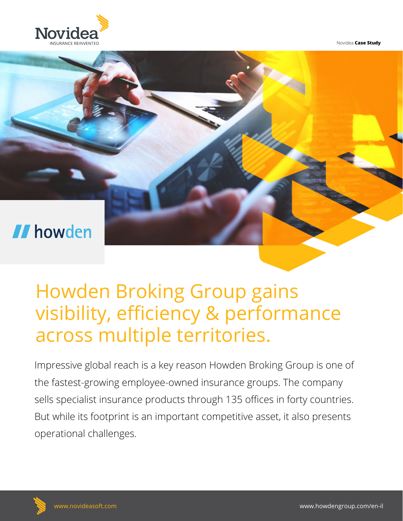

Novidea **Case Study**



# Howden Broking Group gains visibility, efficiency & performance across multiple territories.

Impressive global reach is a key reason Howden Broking Group is one of the fastest-growing employee-owned insurance groups. The company sells specialist insurance products through 135 offices in forty countries. But while its footprint is an important competitive asset, it also presents operational challenges.

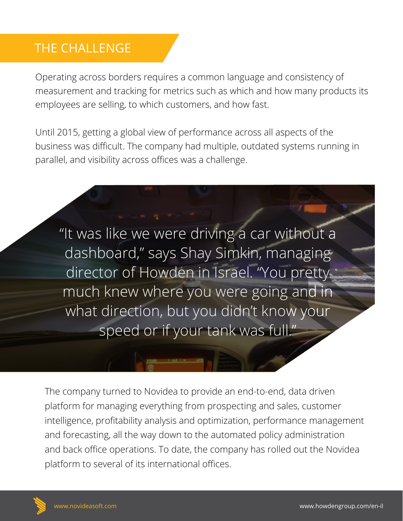#### THE CHALLENGE

Operating across borders requires a common language and consistency of measurement and tracking for metrics such as which and how many products its employees are selling, to which customers, and how fast.

Until 2015, getting a global view of performance across all aspects of the business was difficult. The company had multiple, outdated systems running in parallel, and visibility across offices was a challenge.

"It was like we were driving a car without a dashboard," says Shay Simkin, managing director of Howden in Israel. "You pretty much knew where you were going and in what direction, but you didn't know your speed or if your tank was full."

The company turned to Novidea to provide an end-to-end, data driven platform for managing everything from prospecting and sales, customer intelligence, profitability analysis and optimization, performance management and forecasting, all the way down to the automated policy administration and back office operations. To date, the company has rolled out the Novidea platform to several of its international offices.

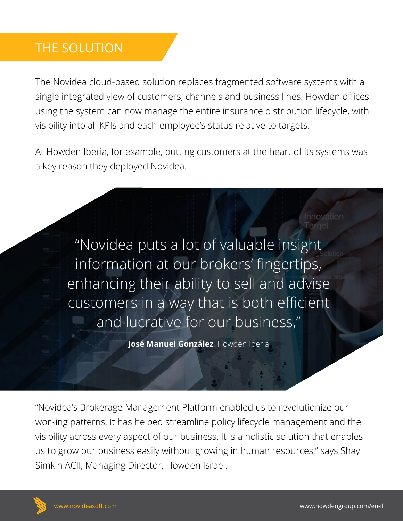## THE SOLUTION

The Novidea cloud-based solution replaces fragmented software systems with a single integrated view of customers, channels and business lines. Howden offices using the system can now manage the entire insurance distribution lifecycle, with visibility into all KPIs and each employee's status relative to targets.

At Howden Iberia, for example, putting customers at the heart of its systems was a key reason they deployed Novidea.

"Novidea puts a lot of valuable insight information at our brokers' fingertips, enhancing their ability to sell and advise customers in a way that is both efficient and lucrative for our business,"

**José Manuel González**, Howden Iberia

"Novidea's Brokerage Management Platform enabled us to revolutionize our working patterns. It has helped streamline policy lifecycle management and the visibility across every aspect of our business. It is a holistic solution that enables us to grow our business easily without growing in human resources," says Shay Simkin ACII, Managing Director, Howden Israel.



Target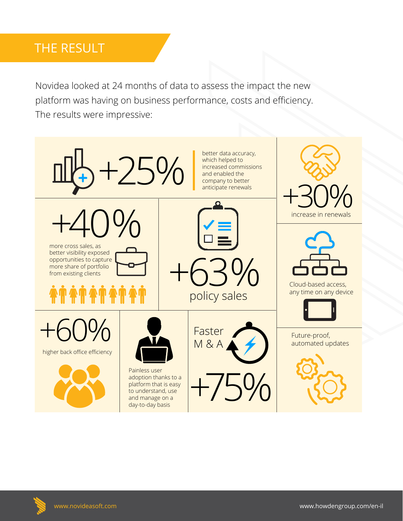#### THE RESULT

Novidea looked at 24 months of data to assess the impact the new platform was having on business performance, costs and efficiency. The results were impressive: